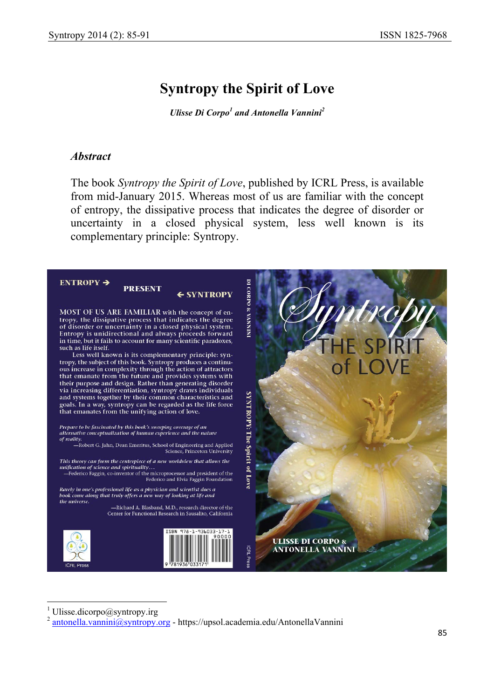# **Syntropy the Spirit of Love**

*Ulisse Di Corpo<sup>1</sup> and Antonella Vannini<sup>2</sup>* 

#### *Abstract*

The book *Syntropy the Spirit of Love*, published by ICRL Press, is available from mid-January 2015. Whereas most of us are familiar with the concept of entropy, the dissipative process that indicates the degree of disorder or uncertainty in a closed physical system, less well known is its complementary principle: Syntropy.



1 Ulisse.dicorpo@syntropy.irg

 $\overline{\phantom{a}}$ 

 $^{2}$  antonella.vannini@syntropy.org - https://upsol.academia.edu/AntonellaVannini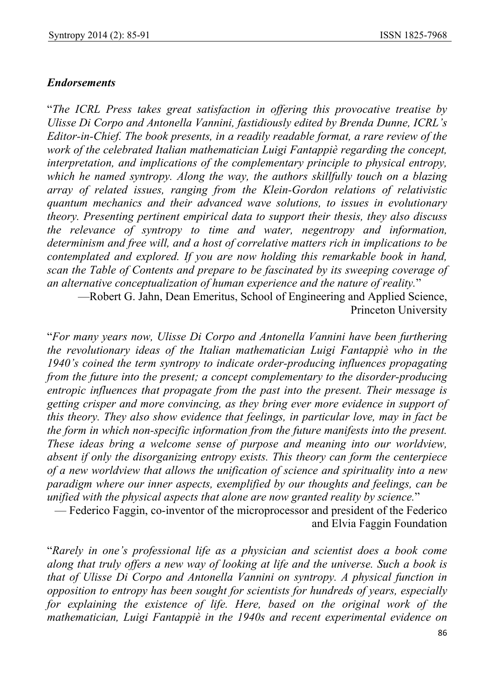### *Endorsements*

"*The ICRL Press takes great satisfaction in offering this provocative treatise by Ulisse Di Corpo and Antonella Vannini, fastidiously edited by Brenda Dunne, ICRL's Editor-in-Chief. The book presents, in a readily readable format, a rare review of the work of the celebrated Italian mathematician Luigi Fantappiè regarding the concept, interpretation, and implications of the complementary principle to physical entropy, which he named syntropy. Along the way, the authors skillfully touch on a blazing array of related issues, ranging from the Klein-Gordon relations of relativistic quantum mechanics and their advanced wave solutions, to issues in evolutionary theory. Presenting pertinent empirical data to support their thesis, they also discuss the relevance of syntropy to time and water, negentropy and information, determinism and free will, and a host of correlative matters rich in implications to be contemplated and explored. If you are now holding this remarkable book in hand, scan the Table of Contents and prepare to be fascinated by its sweeping coverage of an alternative conceptualization of human experience and the nature of reality.*"

—Robert G. Jahn, Dean Emeritus, School of Engineering and Applied Science, Princeton University

"*For many years now, Ulisse Di Corpo and Antonella Vannini have been furthering the revolutionary ideas of the Italian mathematician Luigi Fantappiè who in the 1940's coined the term syntropy to indicate order-producing influences propagating from the future into the present; a concept complementary to the disorder-producing entropic influences that propagate from the past into the present. Their message is getting crisper and more convincing, as they bring ever more evidence in support of this theory. They also show evidence that feelings, in particular love, may in fact be the form in which non-specific information from the future manifests into the present. These ideas bring a welcome sense of purpose and meaning into our worldview, absent if only the disorganizing entropy exists. This theory can form the centerpiece of a new worldview that allows the unification of science and spirituality into a new paradigm where our inner aspects, exemplified by our thoughts and feelings, can be unified with the physical aspects that alone are now granted reality by science.*"

— Federico Faggin, co-inventor of the microprocessor and president of the Federico and Elvia Faggin Foundation

"*Rarely in one's professional life as a physician and scientist does a book come along that truly offers a new way of looking at life and the universe. Such a book is that of Ulisse Di Corpo and Antonella Vannini on syntropy. A physical function in opposition to entropy has been sought for scientists for hundreds of years, especially for explaining the existence of life. Here, based on the original work of the mathematician, Luigi Fantappiè in the 1940s and recent experimental evidence on*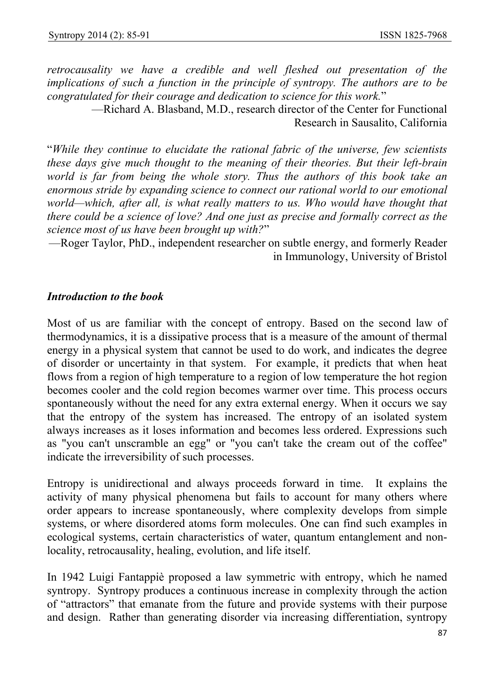*retrocausality we have a credible and well fleshed out presentation of the implications of such a function in the principle of syntropy. The authors are to be congratulated for their courage and dedication to science for this work.*"

—Richard A. Blasband, M.D., research director of the Center for Functional Research in Sausalito, California

"*While they continue to elucidate the rational fabric of the universe, few scientists these days give much thought to the meaning of their theories. But their left-brain world is far from being the whole story. Thus the authors of this book take an enormous stride by expanding science to connect our rational world to our emotional*  world—which, after all, is what really matters to us. Who would have thought that *there could be a science of love? And one just as precise and formally correct as the science most of us have been brought up with?*"

—Roger Taylor, PhD., independent researcher on subtle energy, and formerly Reader in Immunology, University of Bristol

# *Introduction to the book*

Most of us are familiar with the concept of entropy. Based on the second law of thermodynamics, it is a dissipative process that is a measure of the amount of thermal energy in a physical system that cannot be used to do work, and indicates the degree of disorder or uncertainty in that system. For example, it predicts that when heat flows from a region of high temperature to a region of low temperature the hot region becomes cooler and the cold region becomes warmer over time. This process occurs spontaneously without the need for any extra external energy. When it occurs we say that the entropy of the system has increased. The entropy of an isolated system always increases as it loses information and becomes less ordered. Expressions such as "you can't unscramble an egg" or "you can't take the cream out of the coffee" indicate the irreversibility of such processes.

Entropy is unidirectional and always proceeds forward in time. It explains the activity of many physical phenomena but fails to account for many others where order appears to increase spontaneously, where complexity develops from simple systems, or where disordered atoms form molecules. One can find such examples in ecological systems, certain characteristics of water, quantum entanglement and nonlocality, retrocausality, healing, evolution, and life itself.

In 1942 Luigi Fantappiè proposed a law symmetric with entropy, which he named syntropy. Syntropy produces a continuous increase in complexity through the action of "attractors" that emanate from the future and provide systems with their purpose and design. Rather than generating disorder via increasing differentiation, syntropy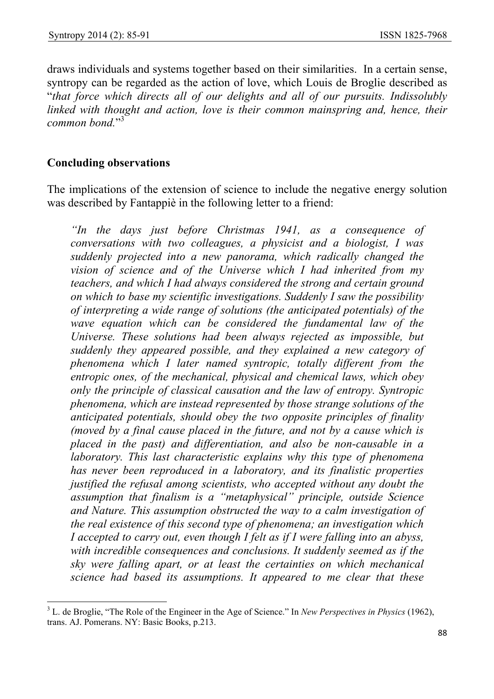draws individuals and systems together based on their similarities. In a certain sense, syntropy can be regarded as the action of love, which Louis de Broglie described as "*that force which directs all of our delights and all of our pursuits. Indissolubly linked with thought and action, love is their common mainspring and, hence, their common bond.*" 3

### **Concluding observations**

The implications of the extension of science to include the negative energy solution was described by Fantappiè in the following letter to a friend:

*"In the days just before Christmas 1941, as a consequence of conversations with two colleagues, a physicist and a biologist, I was suddenly projected into a new panorama, which radically changed the vision of science and of the Universe which I had inherited from my teachers, and which I had always considered the strong and certain ground on which to base my scientific investigations. Suddenly I saw the possibility of interpreting a wide range of solutions (the anticipated potentials) of the wave equation which can be considered the fundamental law of the Universe. These solutions had been always rejected as impossible, but suddenly they appeared possible, and they explained a new category of phenomena which I later named syntropic, totally different from the entropic ones, of the mechanical, physical and chemical laws, which obey only the principle of classical causation and the law of entropy. Syntropic phenomena, which are instead represented by those strange solutions of the anticipated potentials, should obey the two opposite principles of finality (moved by a final cause placed in the future, and not by a cause which is placed in the past) and differentiation, and also be non-causable in a laboratory. This last characteristic explains why this type of phenomena has never been reproduced in a laboratory, and its finalistic properties justified the refusal among scientists, who accepted without any doubt the assumption that finalism is a "metaphysical" principle, outside Science and Nature. This assumption obstructed the way to a calm investigation of the real existence of this second type of phenomena; an investigation which I accepted to carry out, even though I felt as if I were falling into an abyss, with incredible consequences and conclusions. It suddenly seemed as if the sky were falling apart, or at least the certainties on which mechanical science had based its assumptions. It appeared to me clear that these* 

 $\overline{\phantom{a}}$ 3 L. de Broglie, "The Role of the Engineer in the Age of Science." In *New Perspectives in Physics* (1962), trans. AJ. Pomerans. NY: Basic Books, p.213.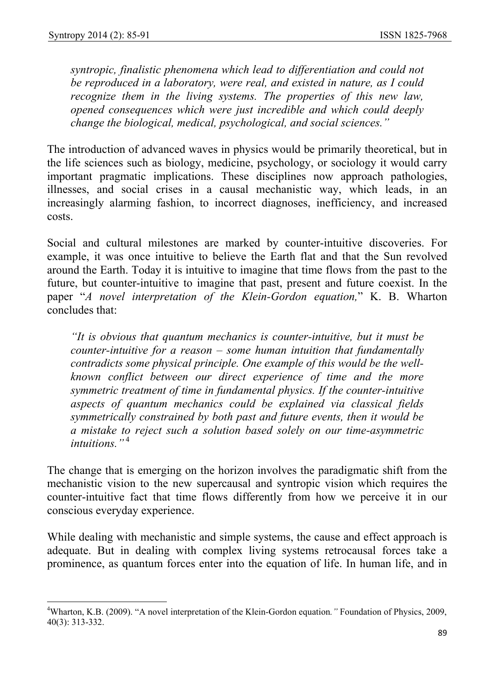$\overline{\phantom{a}}$ 

*syntropic, finalistic phenomena which lead to differentiation and could not be reproduced in a laboratory, were real, and existed in nature, as I could recognize them in the living systems. The properties of this new law, opened consequences which were just incredible and which could deeply change the biological, medical, psychological, and social sciences."* 

The introduction of advanced waves in physics would be primarily theoretical, but in the life sciences such as biology, medicine, psychology, or sociology it would carry important pragmatic implications. These disciplines now approach pathologies, illnesses, and social crises in a causal mechanistic way, which leads, in an increasingly alarming fashion, to incorrect diagnoses, inefficiency, and increased costs.

Social and cultural milestones are marked by counter-intuitive discoveries. For example, it was once intuitive to believe the Earth flat and that the Sun revolved around the Earth. Today it is intuitive to imagine that time flows from the past to the future, but counter-intuitive to imagine that past, present and future coexist. In the paper "*A novel interpretation of the Klein-Gordon equation,*" K. B. Wharton concludes that:

*"It is obvious that quantum mechanics is counter-intuitive, but it must be counter-intuitive for a reason – some human intuition that fundamentally contradicts some physical principle. One example of this would be the wellknown conflict between our direct experience of time and the more symmetric treatment of time in fundamental physics. If the counter-intuitive aspects of quantum mechanics could be explained via classical fields symmetrically constrained by both past and future events, then it would be a mistake to reject such a solution based solely on our time-asymmetric intuitions."*<sup>4</sup>

The change that is emerging on the horizon involves the paradigmatic shift from the mechanistic vision to the new supercausal and syntropic vision which requires the counter-intuitive fact that time flows differently from how we perceive it in our conscious everyday experience.

While dealing with mechanistic and simple systems, the cause and effect approach is adequate. But in dealing with complex living systems retrocausal forces take a prominence, as quantum forces enter into the equation of life. In human life, and in

<sup>4</sup> Wharton, K.B. (2009). "A novel interpretation of the Klein-Gordon equation*."* Foundation of Physics, 2009, 40(3): 313-332.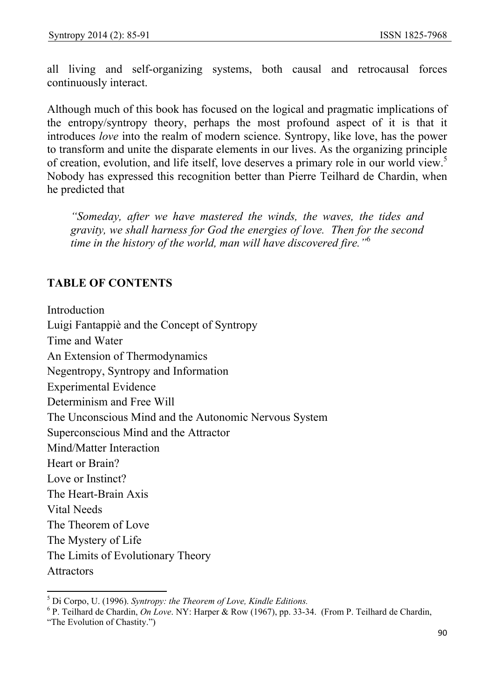all living and self-organizing systems, both causal and retrocausal forces continuously interact.

Although much of this book has focused on the logical and pragmatic implications of the entropy/syntropy theory, perhaps the most profound aspect of it is that it introduces *love* into the realm of modern science. Syntropy, like love, has the power to transform and unite the disparate elements in our lives. As the organizing principle of creation, evolution, and life itself, love deserves a primary role in our world view.<sup>5</sup> Nobody has expressed this recognition better than Pierre Teilhard de Chardin, when he predicted that

*"Someday, after we have mastered the winds, the waves, the tides and gravity, we shall harness for God the energies of love. Then for the second time in the history of the world, man will have discovered fire."*<sup>6</sup>

# **TABLE OF CONTENTS**

Introduction Luigi Fantappiè and the Concept of Syntropy Time and Water An Extension of Thermodynamics Negentropy, Syntropy and Information Experimental Evidence Determinism and Free Will The Unconscious Mind and the Autonomic Nervous System Superconscious Mind and the Attractor Mind/Matter Interaction Heart or Brain? Love or Instinct? The Heart-Brain Axis Vital Needs The Theorem of Love The Mystery of Life The Limits of Evolutionary Theory Attractors

 5 Di Corpo, U. (1996). *Syntropy: the Theorem of Love, Kindle Editions.*

<sup>6</sup> P. Teilhard de Chardin, *On Love*. NY: Harper & Row (1967), pp. 33-34. (From P. Teilhard de Chardin,

<sup>&</sup>quot;The Evolution of Chastity.")